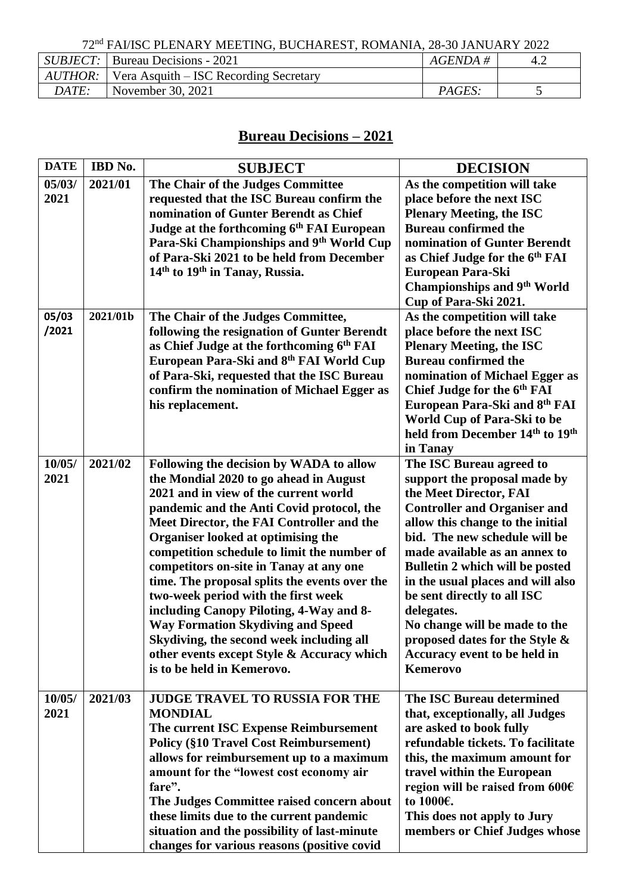|              | <i>SUBJECT</i> : Bureau Decisions - 2021                     | $AGENDA \;\#$ |  |
|--------------|--------------------------------------------------------------|---------------|--|
|              | $\mid$ AUTHOR: $\mid$ Vera Asquith – ISC Recording Secretary |               |  |
| <i>DATE:</i> | November 30, $2021$                                          | PAGES:        |  |

## **Bureau Decisions – 2021**

| <b>DATE</b> | IBD No.  | <b>SUBJECT</b>                                                                            | <b>DECISION</b>                                                         |
|-------------|----------|-------------------------------------------------------------------------------------------|-------------------------------------------------------------------------|
| 05/03/      | 2021/01  | The Chair of the Judges Committee                                                         | As the competition will take                                            |
| 2021        |          | requested that the ISC Bureau confirm the<br>nomination of Gunter Berendt as Chief        | place before the next ISC<br><b>Plenary Meeting, the ISC</b>            |
|             |          | Judge at the forthcoming 6th FAI European                                                 | <b>Bureau confirmed the</b>                                             |
|             |          | Para-Ski Championships and 9th World Cup                                                  | nomination of Gunter Berendt                                            |
|             |          | of Para-Ski 2021 to be held from December                                                 | as Chief Judge for the 6 <sup>th</sup> FAI                              |
|             |          | 14 <sup>th</sup> to 19 <sup>th</sup> in Tanay, Russia.                                    | European Para-Ski                                                       |
|             |          |                                                                                           | <b>Championships and 9th World</b><br>Cup of Para-Ski 2021.             |
| 05/03       | 2021/01b | The Chair of the Judges Committee,                                                        | As the competition will take                                            |
| /2021       |          | following the resignation of Gunter Berendt                                               | place before the next ISC                                               |
|             |          | as Chief Judge at the forthcoming 6th FAI                                                 | <b>Plenary Meeting, the ISC</b>                                         |
|             |          | European Para-Ski and 8th FAI World Cup<br>of Para-Ski, requested that the ISC Bureau     | <b>Bureau confirmed the</b><br>nomination of Michael Egger as           |
|             |          | confirm the nomination of Michael Egger as                                                | Chief Judge for the 6th FAI                                             |
|             |          | his replacement.                                                                          | European Para-Ski and 8th FAI                                           |
|             |          |                                                                                           | World Cup of Para-Ski to be                                             |
|             |          |                                                                                           | held from December 14 <sup>th</sup> to 19 <sup>th</sup><br>in Tanay     |
| 10/05/      | 2021/02  | Following the decision by WADA to allow                                                   | The ISC Bureau agreed to                                                |
| 2021        |          | the Mondial 2020 to go ahead in August                                                    | support the proposal made by                                            |
|             |          | 2021 and in view of the current world                                                     | the Meet Director, FAI                                                  |
|             |          | pandemic and the Anti Covid protocol, the<br>Meet Director, the FAI Controller and the    | <b>Controller and Organiser and</b><br>allow this change to the initial |
|             |          | Organiser looked at optimising the                                                        | bid. The new schedule will be                                           |
|             |          | competition schedule to limit the number of                                               | made available as an annex to                                           |
|             |          | competitors on-site in Tanay at any one                                                   | Bulletin 2 which will be posted                                         |
|             |          | time. The proposal splits the events over the                                             | in the usual places and will also                                       |
|             |          | two-week period with the first week<br>including Canopy Piloting, 4-Way and 8-            | be sent directly to all ISC<br>delegates.                               |
|             |          | <b>Way Formation Skydiving and Speed</b>                                                  | No change will be made to the                                           |
|             |          | Skydiving, the second week including all                                                  | proposed dates for the Style &                                          |
|             |          | other events except Style & Accuracy which                                                | Accuracy event to be held in                                            |
|             |          | is to be held in Kemerovo.                                                                | <b>Kemerovo</b>                                                         |
| 10/05/      | 2021/03  | <b>JUDGE TRAVEL TO RUSSIA FOR THE</b>                                                     | The ISC Bureau determined                                               |
| 2021        |          | <b>MONDIAL</b>                                                                            | that, exceptionally, all Judges                                         |
|             |          | The current ISC Expense Reimbursement                                                     | are asked to book fully                                                 |
|             |          | <b>Policy (§10 Travel Cost Reimbursement)</b><br>allows for reimbursement up to a maximum | refundable tickets. To facilitate<br>this, the maximum amount for       |
|             |          | amount for the "lowest cost economy air                                                   | travel within the European                                              |
|             |          | fare".                                                                                    | region will be raised from 600€                                         |
|             |          | The Judges Committee raised concern about                                                 | to 1000€.                                                               |
|             |          | these limits due to the current pandemic<br>situation and the possibility of last-minute  | This does not apply to Jury<br>members or Chief Judges whose            |
|             |          | changes for various reasons (positive covid                                               |                                                                         |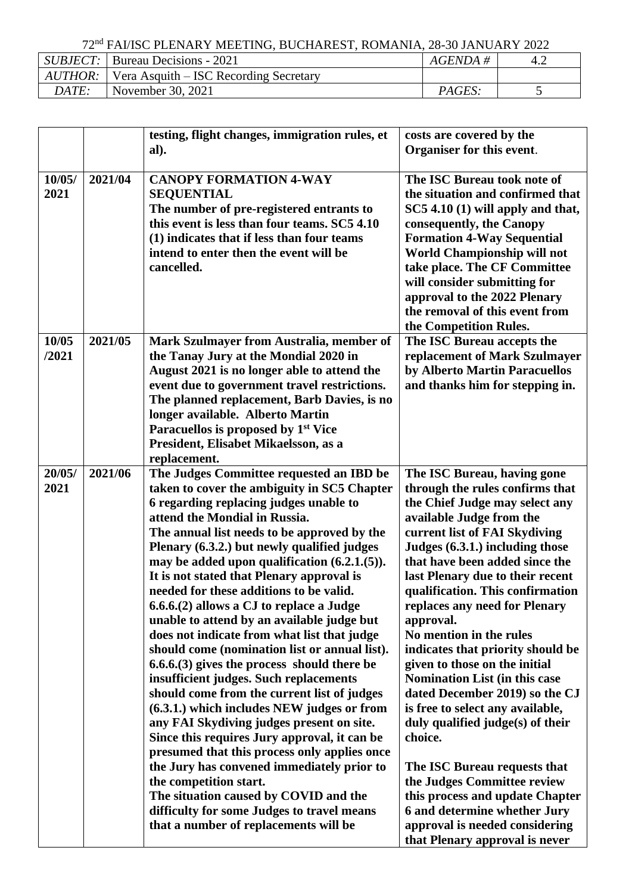|       | <i>SUBJECT</i> : Bureau Decisions - 2021         | $AGENDA \#$ |  |
|-------|--------------------------------------------------|-------------|--|
|       | $AUTHOR:$ Vera Asquith – ISC Recording Secretary |             |  |
| DATE: | November 30, 2021                                | PAGES:      |  |

|                |         | testing, flight changes, immigration rules, et<br>al).                                                                                                                                                                                                                                                                                                                                                                                                                                                                                                                                                                                                                                                                                                                                                                                                                                                                                                                                                                                                                                                                                           | costs are covered by the<br>Organiser for this event.                                                                                                                                                                                                                                                                                                                                                                                                                                                                                                                                                                                                                                                                                                                                                                        |
|----------------|---------|--------------------------------------------------------------------------------------------------------------------------------------------------------------------------------------------------------------------------------------------------------------------------------------------------------------------------------------------------------------------------------------------------------------------------------------------------------------------------------------------------------------------------------------------------------------------------------------------------------------------------------------------------------------------------------------------------------------------------------------------------------------------------------------------------------------------------------------------------------------------------------------------------------------------------------------------------------------------------------------------------------------------------------------------------------------------------------------------------------------------------------------------------|------------------------------------------------------------------------------------------------------------------------------------------------------------------------------------------------------------------------------------------------------------------------------------------------------------------------------------------------------------------------------------------------------------------------------------------------------------------------------------------------------------------------------------------------------------------------------------------------------------------------------------------------------------------------------------------------------------------------------------------------------------------------------------------------------------------------------|
| 10/05/<br>2021 | 2021/04 | <b>CANOPY FORMATION 4-WAY</b><br><b>SEQUENTIAL</b><br>The number of pre-registered entrants to<br>this event is less than four teams. SC5 4.10<br>(1) indicates that if less than four teams<br>intend to enter then the event will be<br>cancelled.                                                                                                                                                                                                                                                                                                                                                                                                                                                                                                                                                                                                                                                                                                                                                                                                                                                                                             | The ISC Bureau took note of<br>the situation and confirmed that<br>SC5 4.10 (1) will apply and that,<br>consequently, the Canopy<br><b>Formation 4-Way Sequential</b><br>World Championship will not<br>take place. The CF Committee<br>will consider submitting for<br>approval to the 2022 Plenary<br>the removal of this event from<br>the Competition Rules.                                                                                                                                                                                                                                                                                                                                                                                                                                                             |
| 10/05<br>/2021 | 2021/05 | Mark Szulmayer from Australia, member of<br>the Tanay Jury at the Mondial 2020 in<br>August 2021 is no longer able to attend the<br>event due to government travel restrictions.<br>The planned replacement, Barb Davies, is no<br>longer available. Alberto Martin<br>Paracuellos is proposed by 1 <sup>st</sup> Vice<br>President, Elisabet Mikaelsson, as a<br>replacement.                                                                                                                                                                                                                                                                                                                                                                                                                                                                                                                                                                                                                                                                                                                                                                   | The ISC Bureau accepts the<br>replacement of Mark Szulmayer<br>by Alberto Martin Paracuellos<br>and thanks him for stepping in.                                                                                                                                                                                                                                                                                                                                                                                                                                                                                                                                                                                                                                                                                              |
| 20/05/<br>2021 | 2021/06 | The Judges Committee requested an IBD be<br>taken to cover the ambiguity in SC5 Chapter<br>6 regarding replacing judges unable to<br>attend the Mondial in Russia.<br>The annual list needs to be approved by the<br>Plenary (6.3.2.) but newly qualified judges<br>may be added upon qualification $(6.2.1.(5)).$<br>It is not stated that Plenary approval is<br>needed for these additions to be valid.<br>6.6.6.(2) allows a CJ to replace a Judge<br>unable to attend by an available judge but<br>does not indicate from what list that judge<br>should come (nomination list or annual list).<br>$6.6.6(3)$ gives the process should there be<br>insufficient judges. Such replacements<br>should come from the current list of judges<br>(6.3.1.) which includes NEW judges or from<br>any FAI Skydiving judges present on site.<br>Since this requires Jury approval, it can be<br>presumed that this process only applies once<br>the Jury has convened immediately prior to<br>the competition start.<br>The situation caused by COVID and the<br>difficulty for some Judges to travel means<br>that a number of replacements will be | The ISC Bureau, having gone<br>through the rules confirms that<br>the Chief Judge may select any<br>available Judge from the<br>current list of FAI Skydiving<br>Judges (6.3.1.) including those<br>that have been added since the<br>last Plenary due to their recent<br>qualification. This confirmation<br>replaces any need for Plenary<br>approval.<br>No mention in the rules<br>indicates that priority should be<br>given to those on the initial<br><b>Nomination List (in this case</b><br>dated December 2019) so the CJ<br>is free to select any available,<br>duly qualified judge(s) of their<br>choice.<br>The ISC Bureau requests that<br>the Judges Committee review<br>this process and update Chapter<br>6 and determine whether Jury<br>approval is needed considering<br>that Plenary approval is never |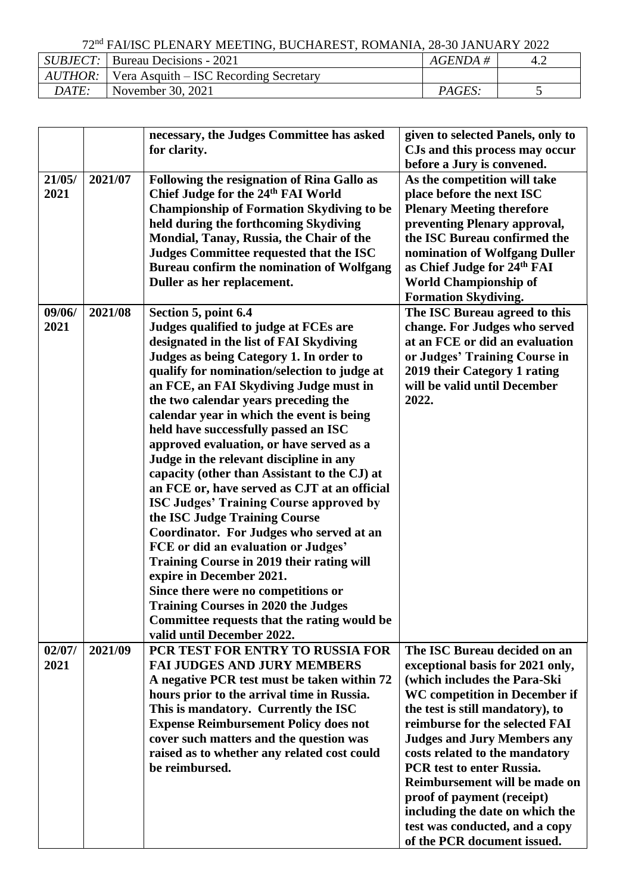|       | $SUBJECT$ : Bureau Decisions - 2021              | <i>AGENDA</i> # |  |
|-------|--------------------------------------------------|-----------------|--|
|       | $AUTHOR:$ Vera Asquith – ISC Recording Secretary |                 |  |
| DATE: | November 30, 2021                                | <i>PAGES:</i>   |  |

| 21/05/         | 2021/07 | necessary, the Judges Committee has asked<br>for clarity.<br>Following the resignation of Rina Gallo as                                                                                                                                                                                                                                                                                                                                                                                                                                                                                                                                                                                                                                                                                                                                                                                                                                                                            | given to selected Panels, only to<br>CJs and this process may occur<br>before a Jury is convened.<br>As the competition will take                                                                                                                                                                                                                                                                                                                                                      |
|----------------|---------|------------------------------------------------------------------------------------------------------------------------------------------------------------------------------------------------------------------------------------------------------------------------------------------------------------------------------------------------------------------------------------------------------------------------------------------------------------------------------------------------------------------------------------------------------------------------------------------------------------------------------------------------------------------------------------------------------------------------------------------------------------------------------------------------------------------------------------------------------------------------------------------------------------------------------------------------------------------------------------|----------------------------------------------------------------------------------------------------------------------------------------------------------------------------------------------------------------------------------------------------------------------------------------------------------------------------------------------------------------------------------------------------------------------------------------------------------------------------------------|
| 2021           |         | Chief Judge for the 24th FAI World<br><b>Championship of Formation Skydiving to be</b><br>held during the forthcoming Skydiving<br>Mondial, Tanay, Russia, the Chair of the<br>Judges Committee requested that the ISC<br>Bureau confirm the nomination of Wolfgang<br>Duller as her replacement.                                                                                                                                                                                                                                                                                                                                                                                                                                                                                                                                                                                                                                                                                  | place before the next ISC<br><b>Plenary Meeting therefore</b><br>preventing Plenary approval,<br>the ISC Bureau confirmed the<br>nomination of Wolfgang Duller<br>as Chief Judge for 24th FAI<br><b>World Championship of</b><br><b>Formation Skydiving.</b>                                                                                                                                                                                                                           |
| 09/06/<br>2021 | 2021/08 | Section 5, point 6.4<br>Judges qualified to judge at FCEs are<br>designated in the list of FAI Skydiving<br>Judges as being Category 1. In order to<br>qualify for nomination/selection to judge at<br>an FCE, an FAI Skydiving Judge must in<br>the two calendar years preceding the<br>calendar year in which the event is being<br>held have successfully passed an ISC<br>approved evaluation, or have served as a<br>Judge in the relevant discipline in any<br>capacity (other than Assistant to the CJ) at<br>an FCE or, have served as CJT at an official<br><b>ISC Judges' Training Course approved by</b><br>the ISC Judge Training Course<br>Coordinator. For Judges who served at an<br>FCE or did an evaluation or Judges'<br>Training Course in 2019 their rating will<br>expire in December 2021.<br>Since there were no competitions or<br><b>Training Courses in 2020 the Judges</b><br>Committee requests that the rating would be<br>valid until December 2022. | The ISC Bureau agreed to this<br>change. For Judges who served<br>at an FCE or did an evaluation<br>or Judges' Training Course in<br>2019 their Category 1 rating<br>will be valid until December<br>2022.                                                                                                                                                                                                                                                                             |
| 02/07/<br>2021 | 2021/09 | PCR TEST FOR ENTRY TO RUSSIA FOR<br><b>FAI JUDGES AND JURY MEMBERS</b><br>A negative PCR test must be taken within 72<br>hours prior to the arrival time in Russia.<br>This is mandatory. Currently the ISC<br><b>Expense Reimbursement Policy does not</b><br>cover such matters and the question was<br>raised as to whether any related cost could<br>be reimbursed.                                                                                                                                                                                                                                                                                                                                                                                                                                                                                                                                                                                                            | The ISC Bureau decided on an<br>exceptional basis for 2021 only,<br>(which includes the Para-Ski<br>WC competition in December if<br>the test is still mandatory), to<br>reimburse for the selected FAI<br><b>Judges and Jury Members any</b><br>costs related to the mandatory<br><b>PCR</b> test to enter Russia.<br>Reimbursement will be made on<br>proof of payment (receipt)<br>including the date on which the<br>test was conducted, and a copy<br>of the PCR document issued. |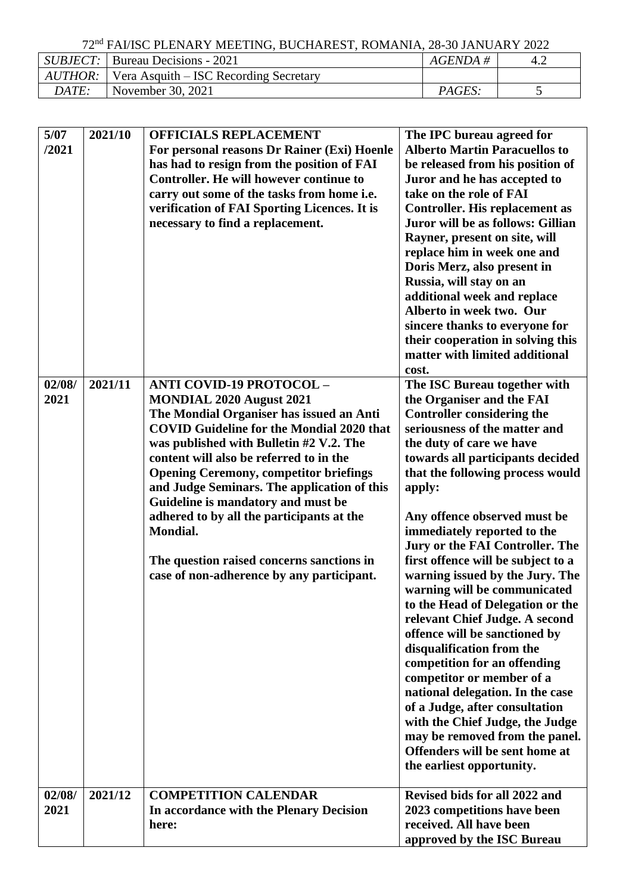|       | <i>SUBJECT</i> : Bureau Decisions - 2021                     | $AGENDA \#$   | 4.2 |
|-------|--------------------------------------------------------------|---------------|-----|
|       | $\mid$ AUTHOR: $\mid$ Vera Asquith – ISC Recording Secretary |               |     |
| DATE: | November 30, 2021                                            | <i>PAGES:</i> |     |

| 5/07   | 2021/10 | <b>OFFICIALS REPLACEMENT</b>                                         | The IPC bureau agreed for                                          |
|--------|---------|----------------------------------------------------------------------|--------------------------------------------------------------------|
| /2021  |         | For personal reasons Dr Rainer (Exi) Hoenle                          | <b>Alberto Martin Paracuellos to</b>                               |
|        |         | has had to resign from the position of FAI                           | be released from his position of                                   |
|        |         | <b>Controller. He will however continue to</b>                       | Juror and he has accepted to                                       |
|        |         | carry out some of the tasks from home i.e.                           | take on the role of FAI                                            |
|        |         | verification of FAI Sporting Licences. It is                         | <b>Controller. His replacement as</b>                              |
|        |         | necessary to find a replacement.                                     | Juror will be as follows: Gillian                                  |
|        |         |                                                                      | Rayner, present on site, will                                      |
|        |         |                                                                      | replace him in week one and                                        |
|        |         |                                                                      | Doris Merz, also present in                                        |
|        |         |                                                                      | Russia, will stay on an                                            |
|        |         |                                                                      | additional week and replace                                        |
|        |         |                                                                      | Alberto in week two. Our                                           |
|        |         |                                                                      | sincere thanks to everyone for                                     |
|        |         |                                                                      | their cooperation in solving this                                  |
|        |         |                                                                      | matter with limited additional                                     |
|        |         |                                                                      | cost.                                                              |
| 02/08/ | 2021/11 | <b>ANTI COVID-19 PROTOCOL -</b>                                      | The ISC Bureau together with                                       |
| 2021   |         | MONDIAL 2020 August 2021<br>The Mondial Organiser has issued an Anti | the Organiser and the FAI                                          |
|        |         | <b>COVID Guideline for the Mondial 2020 that</b>                     | <b>Controller considering the</b><br>seriousness of the matter and |
|        |         | was published with Bulletin #2 V.2. The                              | the duty of care we have                                           |
|        |         | content will also be referred to in the                              | towards all participants decided                                   |
|        |         | <b>Opening Ceremony, competitor briefings</b>                        | that the following process would                                   |
|        |         | and Judge Seminars. The application of this                          | apply:                                                             |
|        |         | Guideline is mandatory and must be                                   |                                                                    |
|        |         | adhered to by all the participants at the                            | Any offence observed must be                                       |
|        |         | <b>Mondial.</b>                                                      | immediately reported to the                                        |
|        |         |                                                                      | Jury or the FAI Controller. The                                    |
|        |         | The question raised concerns sanctions in                            | first offence will be subject to a                                 |
|        |         | case of non-adherence by any participant.                            | warning issued by the Jury. The                                    |
|        |         |                                                                      | warning will be communicated                                       |
|        |         |                                                                      | to the Head of Delegation or the                                   |
|        |         |                                                                      | relevant Chief Judge. A second                                     |
|        |         |                                                                      | offence will be sanctioned by                                      |
|        |         |                                                                      | disqualification from the<br>competition for an offending          |
|        |         |                                                                      | competitor or member of a                                          |
|        |         |                                                                      | national delegation. In the case                                   |
|        |         |                                                                      | of a Judge, after consultation                                     |
|        |         |                                                                      | with the Chief Judge, the Judge                                    |
|        |         |                                                                      | may be removed from the panel.                                     |
|        |         |                                                                      | Offenders will be sent home at                                     |
|        |         |                                                                      | the earliest opportunity.                                          |
|        |         |                                                                      |                                                                    |
| 02/08/ | 2021/12 | <b>COMPETITION CALENDAR</b>                                          | Revised bids for all 2022 and                                      |
| 2021   |         | In accordance with the Plenary Decision                              | 2023 competitions have been                                        |
|        |         | here:                                                                | received. All have been                                            |
|        |         |                                                                      | approved by the ISC Bureau                                         |